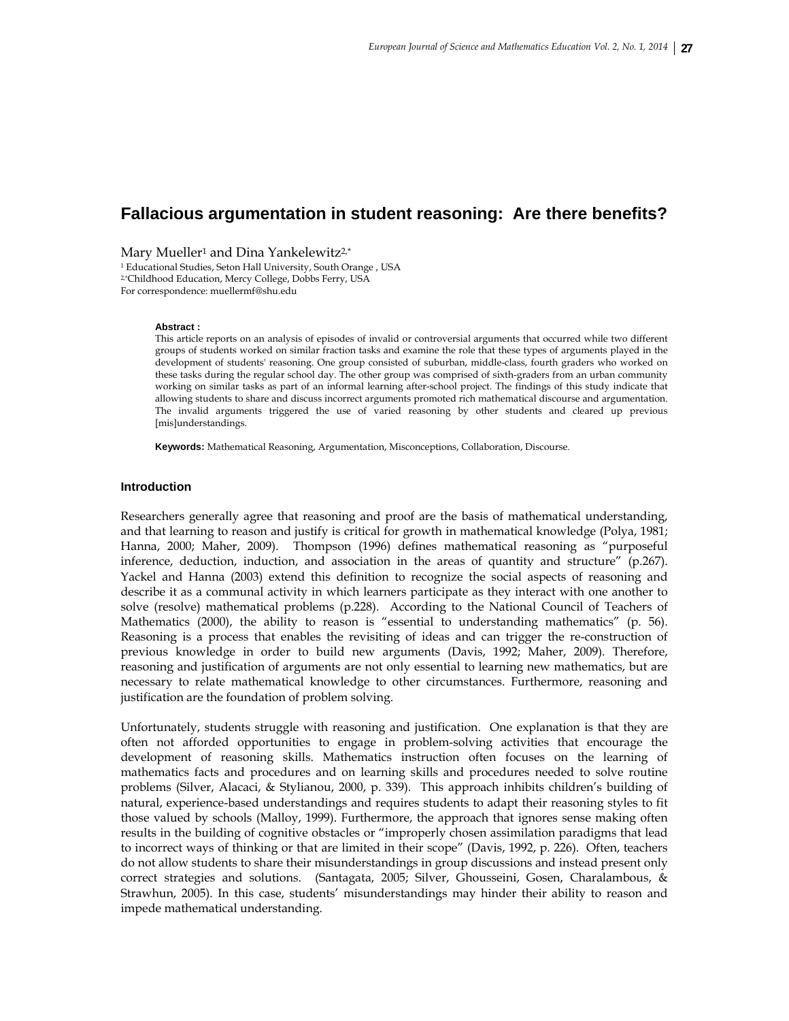# **Fallacious argumentation in student reasoning: Are there benefits?**

Mary Mueller<sup>1</sup> and Dina Yankelewitz<sup>2,\*</sup><br><sup>1</sup> Educational Studies, Seton Hall University, South Orange , USA 2,\*Childhood Education, Mercy College, Dobbs Ferry, USA For correspondence: muellermf@shu.edu

#### **Abstract :**

This article reports on an analysis of episodes of invalid or controversial arguments that occurred while two different groups of students worked on similar fraction tasks and examine the role that these types of arguments played in the development of students' reasoning. One group consisted of suburban, middle-class, fourth graders who worked on these tasks during the regular school day. The other group was comprised of sixth-graders from an urban community working on similar tasks as part of an informal learning after-school project. The findings of this study indicate that allowing students to share and discuss incorrect arguments promoted rich mathematical discourse and argumentation. The invalid arguments triggered the use of varied reasoning by other students and cleared up previous [mis]understandings.

**Keywords:** Mathematical Reasoning, Argumentation, Misconceptions, Collaboration, Discourse.

#### **Introduction**

Researchers generally agree that reasoning and proof are the basis of mathematical understanding, and that learning to reason and justify is critical for growth in mathematical knowledge (Polya, 1981; Hanna, 2000; Maher, 2009). Thompson (1996) defines mathematical reasoning as "purposeful inference, deduction, induction, and association in the areas of quantity and structure" (p.267). Yackel and Hanna (2003) extend this definition to recognize the social aspects of reasoning and describe it as a communal activity in which learners participate as they interact with one another to solve (resolve) mathematical problems (p.228). According to the National Council of Teachers of Mathematics (2000), the ability to reason is "essential to understanding mathematics" (p. 56). Reasoning is a process that enables the revisiting of ideas and can trigger the re-construction of previous knowledge in order to build new arguments (Davis, 1992; Maher, 2009). Therefore, reasoning and justification of arguments are not only essential to learning new mathematics, but are necessary to relate mathematical knowledge to other circumstances. Furthermore, reasoning and justification are the foundation of problem solving.

Unfortunately, students struggle with reasoning and justification. One explanation is that they are often not afforded opportunities to engage in problem-solving activities that encourage the development of reasoning skills. Mathematics instruction often focuses on the learning of mathematics facts and procedures and on learning skills and procedures needed to solve routine problems (Silver, Alacaci, & Stylianou, 2000, p. 339). This approach inhibits children's building of natural, experience-based understandings and requires students to adapt their reasoning styles to fit those valued by schools (Malloy, 1999). Furthermore, the approach that ignores sense making often results in the building of cognitive obstacles or "improperly chosen assimilation paradigms that lead to incorrect ways of thinking or that are limited in their scope" (Davis, 1992, p. 226). Often, teachers do not allow students to share their misunderstandings in group discussions and instead present only correct strategies and solutions. (Santagata, 2005; Silver, Ghousseini, Gosen, Charalambous, & Strawhun, 2005). In this case, students' misunderstandings may hinder their ability to reason and impede mathematical understanding.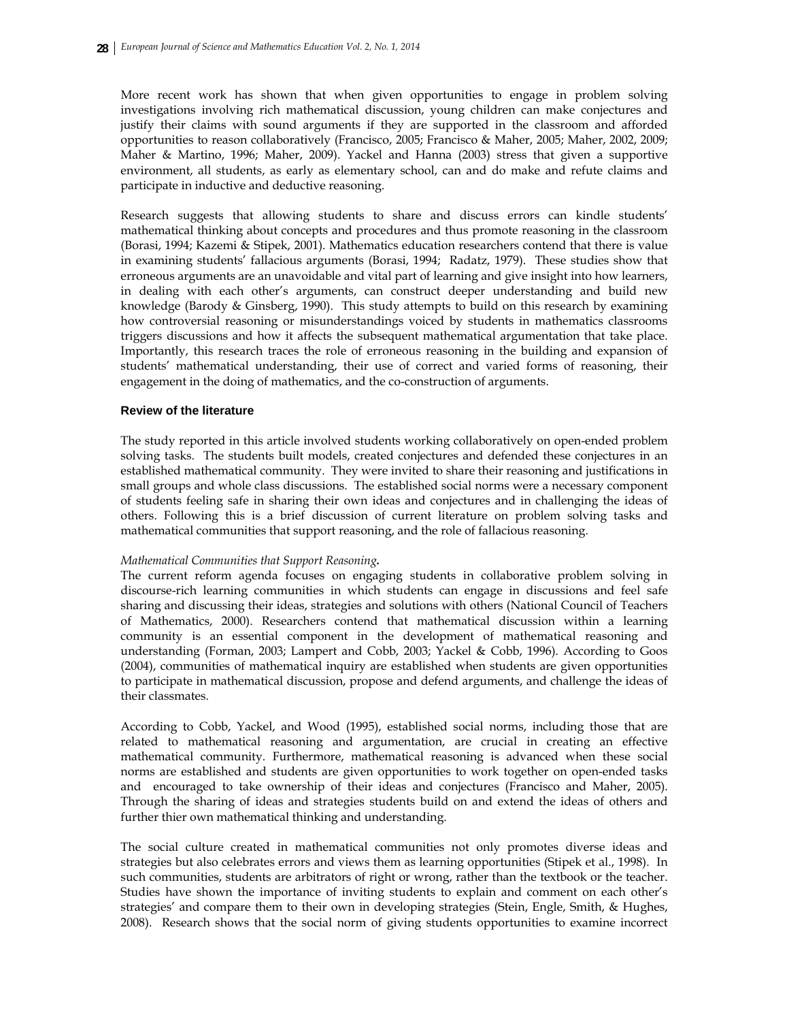More recent work has shown that when given opportunities to engage in problem solving investigations involving rich mathematical discussion, young children can make conjectures and justify their claims with sound arguments if they are supported in the classroom and afforded opportunities to reason collaboratively (Francisco, 2005; Francisco & Maher, 2005; Maher, 2002, 2009; Maher & Martino, 1996; Maher, 2009). Yackel and Hanna (2003) stress that given a supportive environment, all students, as early as elementary school, can and do make and refute claims and participate in inductive and deductive reasoning.

Research suggests that allowing students to share and discuss errors can kindle students' mathematical thinking about concepts and procedures and thus promote reasoning in the classroom (Borasi, 1994; Kazemi & Stipek, 2001). Mathematics education researchers contend that there is value in examining students' fallacious arguments (Borasi, 1994; Radatz, 1979). These studies show that erroneous arguments are an unavoidable and vital part of learning and give insight into how learners, in dealing with each other's arguments, can construct deeper understanding and build new knowledge (Barody & Ginsberg, 1990). This study attempts to build on this research by examining how controversial reasoning or misunderstandings voiced by students in mathematics classrooms triggers discussions and how it affects the subsequent mathematical argumentation that take place. Importantly, this research traces the role of erroneous reasoning in the building and expansion of students' mathematical understanding, their use of correct and varied forms of reasoning, their engagement in the doing of mathematics, and the co-construction of arguments.

## **Review of the literature**

The study reported in this article involved students working collaboratively on open-ended problem solving tasks. The students built models, created conjectures and defended these conjectures in an established mathematical community. They were invited to share their reasoning and justifications in small groups and whole class discussions. The established social norms were a necessary component of students feeling safe in sharing their own ideas and conjectures and in challenging the ideas of others. Following this is a brief discussion of current literature on problem solving tasks and mathematical communities that support reasoning, and the role of fallacious reasoning.

#### *Mathematical Communities that Support Reasoning.*

The current reform agenda focuses on engaging students in collaborative problem solving in discourse-rich learning communities in which students can engage in discussions and feel safe sharing and discussing their ideas, strategies and solutions with others (National Council of Teachers of Mathematics, 2000). Researchers contend that mathematical discussion within a learning community is an essential component in the development of mathematical reasoning and understanding (Forman, 2003; Lampert and Cobb, 2003; Yackel & Cobb, 1996). According to Goos (2004), communities of mathematical inquiry are established when students are given opportunities to participate in mathematical discussion, propose and defend arguments, and challenge the ideas of their classmates.

According to Cobb, Yackel, and Wood (1995), established social norms, including those that are related to mathematical reasoning and argumentation, are crucial in creating an effective mathematical community. Furthermore, mathematical reasoning is advanced when these social norms are established and students are given opportunities to work together on open-ended tasks and encouraged to take ownership of their ideas and conjectures (Francisco and Maher, 2005). Through the sharing of ideas and strategies students build on and extend the ideas of others and further thier own mathematical thinking and understanding.

The social culture created in mathematical communities not only promotes diverse ideas and strategies but also celebrates errors and views them as learning opportunities (Stipek et al., 1998). In such communities, students are arbitrators of right or wrong, rather than the textbook or the teacher. Studies have shown the importance of inviting students to explain and comment on each other's strategies' and compare them to their own in developing strategies (Stein, Engle, Smith, & Hughes, 2008). Research shows that the social norm of giving students opportunities to examine incorrect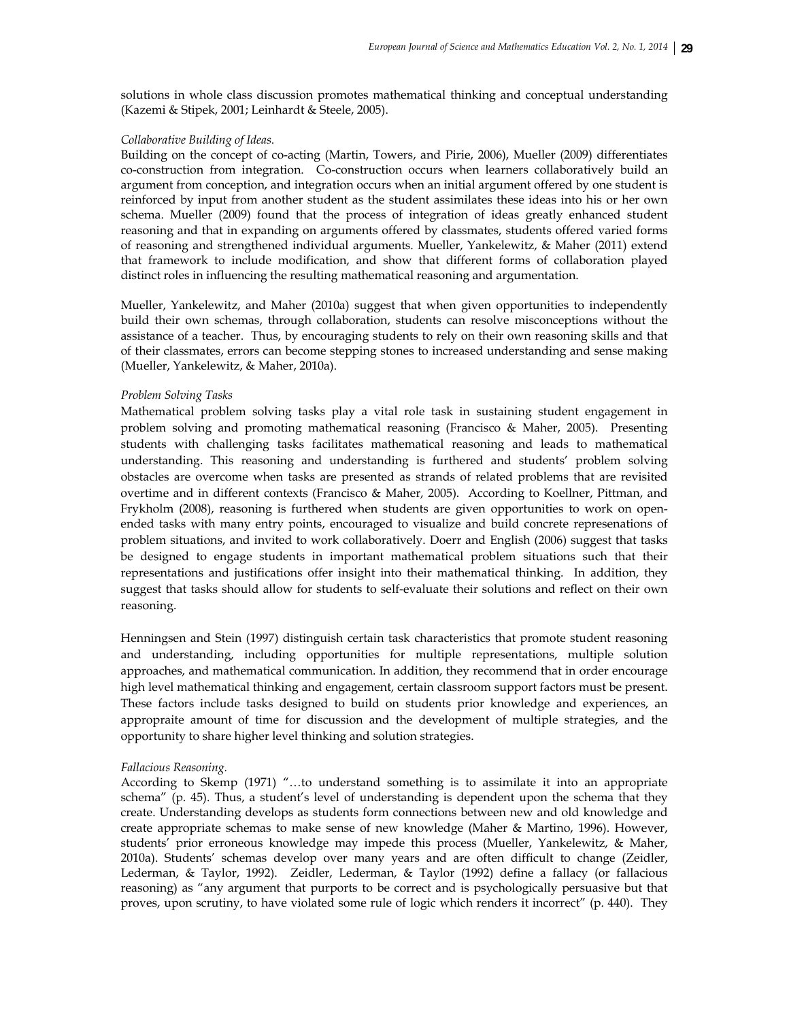solutions in whole class discussion promotes mathematical thinking and conceptual understanding (Kazemi & Stipek, 2001; Leinhardt & Steele, 2005).

#### *Collaborative Building of Ideas.*

Building on the concept of co-acting (Martin, Towers, and Pirie, 2006), Mueller (2009) differentiates co-construction from integration. Co-construction occurs when learners collaboratively build an argument from conception, and integration occurs when an initial argument offered by one student is reinforced by input from another student as the student assimilates these ideas into his or her own schema. Mueller (2009) found that the process of integration of ideas greatly enhanced student reasoning and that in expanding on arguments offered by classmates, students offered varied forms of reasoning and strengthened individual arguments. Mueller, Yankelewitz, & Maher (2011) extend that framework to include modification, and show that different forms of collaboration played distinct roles in influencing the resulting mathematical reasoning and argumentation.

Mueller, Yankelewitz, and Maher (2010a) suggest that when given opportunities to independently build their own schemas, through collaboration, students can resolve misconceptions without the assistance of a teacher. Thus, by encouraging students to rely on their own reasoning skills and that of their classmates, errors can become stepping stones to increased understanding and sense making (Mueller, Yankelewitz, & Maher, 2010a).

#### *Problem Solving Tasks*

Mathematical problem solving tasks play a vital role task in sustaining student engagement in problem solving and promoting mathematical reasoning (Francisco & Maher, 2005). Presenting students with challenging tasks facilitates mathematical reasoning and leads to mathematical understanding. This reasoning and understanding is furthered and students' problem solving obstacles are overcome when tasks are presented as strands of related problems that are revisited overtime and in different contexts (Francisco & Maher, 2005). According to Koellner, Pittman, and Frykholm (2008), reasoning is furthered when students are given opportunities to work on openended tasks with many entry points, encouraged to visualize and build concrete represenations of problem situations, and invited to work collaboratively. Doerr and English (2006) suggest that tasks be designed to engage students in important mathematical problem situations such that their representations and justifications offer insight into their mathematical thinking. In addition, they suggest that tasks should allow for students to self‐evaluate their solutions and reflect on their own reasoning.

Henningsen and Stein (1997) distinguish certain task characteristics that promote student reasoning and understanding, including opportunities for multiple representations, multiple solution approaches, and mathematical communication. In addition, they recommend that in order encourage high level mathematical thinking and engagement, certain classroom support factors must be present. These factors include tasks designed to build on students prior knowledge and experiences, an appropraite amount of time for discussion and the development of multiple strategies, and the opportunity to share higher level thinking and solution strategies.

#### *Fallacious Reasoning.*

According to Skemp (1971) "…to understand something is to assimilate it into an appropriate schema" (p. 45). Thus, a student's level of understanding is dependent upon the schema that they create. Understanding develops as students form connections between new and old knowledge and create appropriate schemas to make sense of new knowledge (Maher & Martino, 1996). However, students' prior erroneous knowledge may impede this process (Mueller, Yankelewitz, & Maher, 2010a). Students' schemas develop over many years and are often difficult to change (Zeidler, Lederman, & Taylor, 1992). Zeidler, Lederman, & Taylor (1992) define a fallacy (or fallacious reasoning) as "any argument that purports to be correct and is psychologically persuasive but that proves, upon scrutiny, to have violated some rule of logic which renders it incorrect" (p. 440). They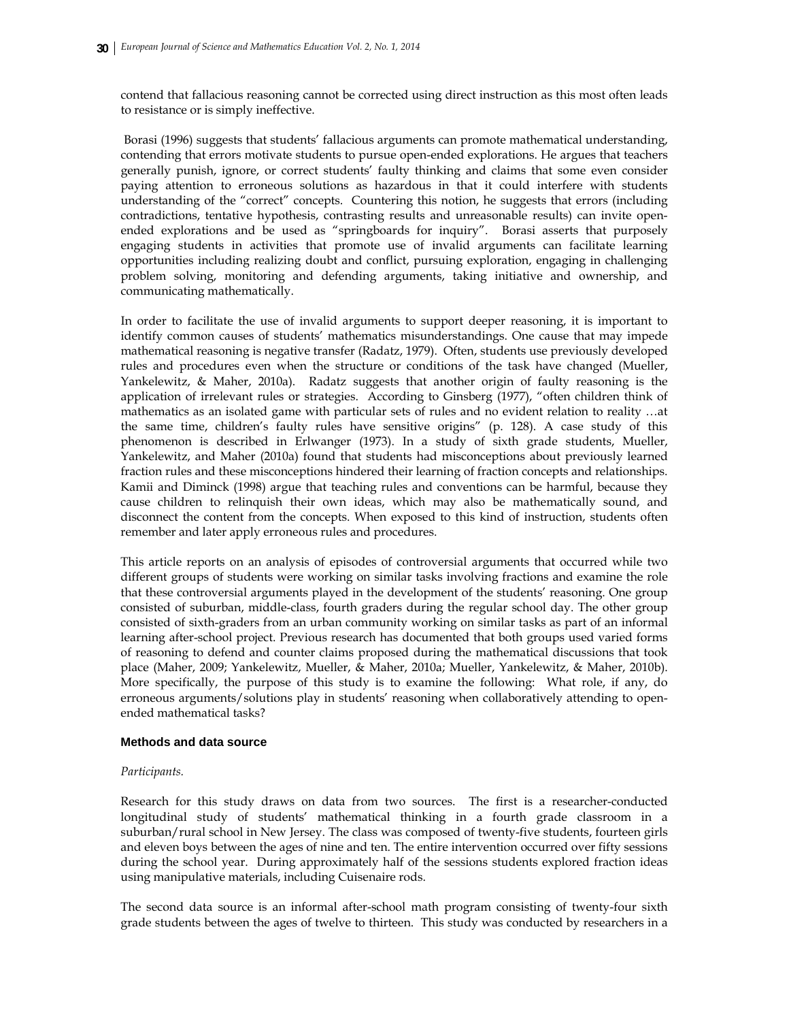contend that fallacious reasoning cannot be corrected using direct instruction as this most often leads to resistance or is simply ineffective.

 Borasi (1996) suggests that students' fallacious arguments can promote mathematical understanding, contending that errors motivate students to pursue open-ended explorations. He argues that teachers generally punish, ignore, or correct students' faulty thinking and claims that some even consider paying attention to erroneous solutions as hazardous in that it could interfere with students understanding of the "correct" concepts. Countering this notion, he suggests that errors (including contradictions, tentative hypothesis, contrasting results and unreasonable results) can invite openended explorations and be used as "springboards for inquiry". Borasi asserts that purposely engaging students in activities that promote use of invalid arguments can facilitate learning opportunities including realizing doubt and conflict, pursuing exploration, engaging in challenging problem solving, monitoring and defending arguments, taking initiative and ownership, and communicating mathematically.

In order to facilitate the use of invalid arguments to support deeper reasoning, it is important to identify common causes of students' mathematics misunderstandings. One cause that may impede mathematical reasoning is negative transfer (Radatz, 1979). Often, students use previously developed rules and procedures even when the structure or conditions of the task have changed (Mueller, Yankelewitz, & Maher, 2010a). Radatz suggests that another origin of faulty reasoning is the application of irrelevant rules or strategies. According to Ginsberg (1977), "often children think of mathematics as an isolated game with particular sets of rules and no evident relation to reality …at the same time, children's faulty rules have sensitive origins" (p. 128). A case study of this phenomenon is described in Erlwanger (1973). In a study of sixth grade students, Mueller, Yankelewitz, and Maher (2010a) found that students had misconceptions about previously learned fraction rules and these misconceptions hindered their learning of fraction concepts and relationships. Kamii and Diminck (1998) argue that teaching rules and conventions can be harmful, because they cause children to relinquish their own ideas, which may also be mathematically sound, and disconnect the content from the concepts. When exposed to this kind of instruction, students often remember and later apply erroneous rules and procedures.

This article reports on an analysis of episodes of controversial arguments that occurred while two different groups of students were working on similar tasks involving fractions and examine the role that these controversial arguments played in the development of the students' reasoning. One group consisted of suburban, middle-class, fourth graders during the regular school day. The other group consisted of sixth-graders from an urban community working on similar tasks as part of an informal learning after-school project. Previous research has documented that both groups used varied forms of reasoning to defend and counter claims proposed during the mathematical discussions that took place (Maher, 2009; Yankelewitz, Mueller, & Maher, 2010a; Mueller, Yankelewitz, & Maher, 2010b). More specifically, the purpose of this study is to examine the following: What role, if any, do erroneous arguments/solutions play in students' reasoning when collaboratively attending to openended mathematical tasks?

# **Methods and data source**

# *Participants.*

Research for this study draws on data from two sources. The first is a researcher-conducted longitudinal study of students' mathematical thinking in a fourth grade classroom in a suburban/rural school in New Jersey. The class was composed of twenty-five students, fourteen girls and eleven boys between the ages of nine and ten. The entire intervention occurred over fifty sessions during the school year. During approximately half of the sessions students explored fraction ideas using manipulative materials, including Cuisenaire rods.

The second data source is an informal after-school math program consisting of twenty-four sixth grade students between the ages of twelve to thirteen. This study was conducted by researchers in a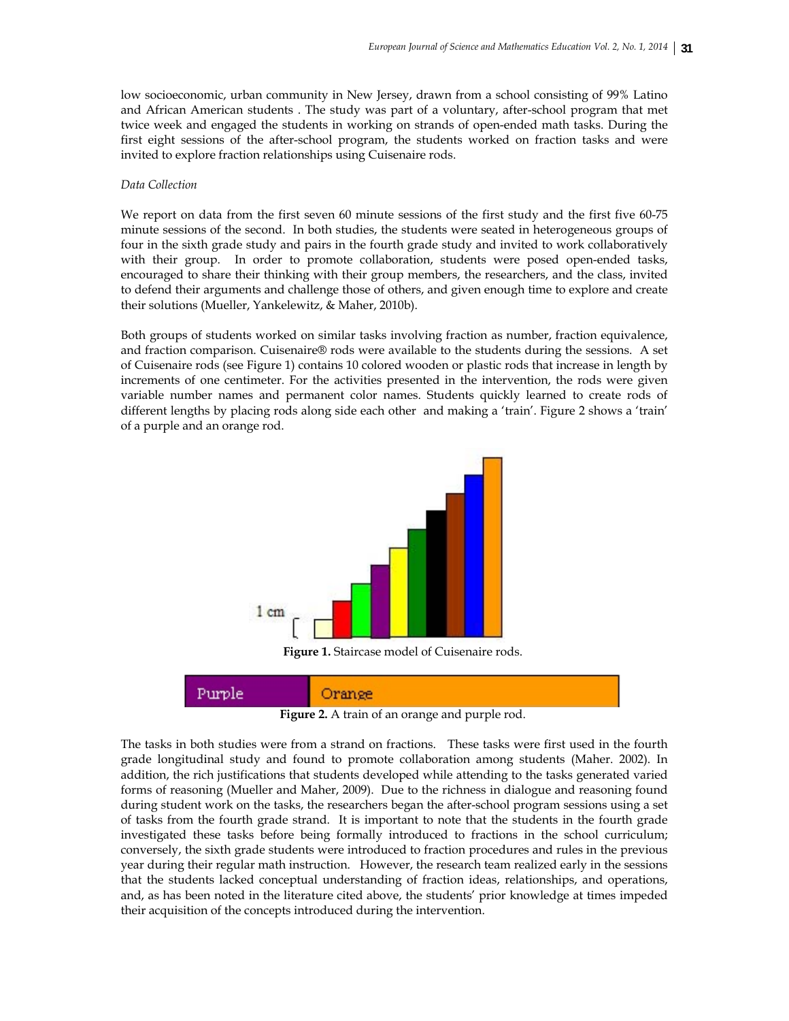low socioeconomic, urban community in New Jersey, drawn from a school consisting of 99% Latino and African American students . The study was part of a voluntary, after-school program that met twice week and engaged the students in working on strands of open-ended math tasks. During the first eight sessions of the after-school program, the students worked on fraction tasks and were invited to explore fraction relationships using Cuisenaire rods.

### *Data Collection*

We report on data from the first seven 60 minute sessions of the first study and the first five 60-75 minute sessions of the second. In both studies, the students were seated in heterogeneous groups of four in the sixth grade study and pairs in the fourth grade study and invited to work collaboratively with their group. In order to promote collaboration, students were posed open-ended tasks, encouraged to share their thinking with their group members, the researchers, and the class, invited to defend their arguments and challenge those of others, and given enough time to explore and create their solutions (Mueller, Yankelewitz, & Maher, 2010b).

Both groups of students worked on similar tasks involving fraction as number, fraction equivalence, and fraction comparison. Cuisenaire® rods were available to the students during the sessions. A set of Cuisenaire rods (see Figure 1) contains 10 colored wooden or plastic rods that increase in length by increments of one centimeter. For the activities presented in the intervention, the rods were given variable number names and permanent color names. Students quickly learned to create rods of different lengths by placing rods along side each other and making a 'train'. Figure 2 shows a 'train' of a purple and an orange rod.



**Figure 1.** Staircase model of Cuisenaire rods.



**Figure 2.** A train of an orange and purple rod.

The tasks in both studies were from a strand on fractions. These tasks were first used in the fourth grade longitudinal study and found to promote collaboration among students (Maher. 2002). In addition, the rich justifications that students developed while attending to the tasks generated varied forms of reasoning (Mueller and Maher, 2009). Due to the richness in dialogue and reasoning found during student work on the tasks, the researchers began the after-school program sessions using a set of tasks from the fourth grade strand. It is important to note that the students in the fourth grade investigated these tasks before being formally introduced to fractions in the school curriculum; conversely, the sixth grade students were introduced to fraction procedures and rules in the previous year during their regular math instruction. However, the research team realized early in the sessions that the students lacked conceptual understanding of fraction ideas, relationships, and operations, and, as has been noted in the literature cited above, the students' prior knowledge at times impeded their acquisition of the concepts introduced during the intervention.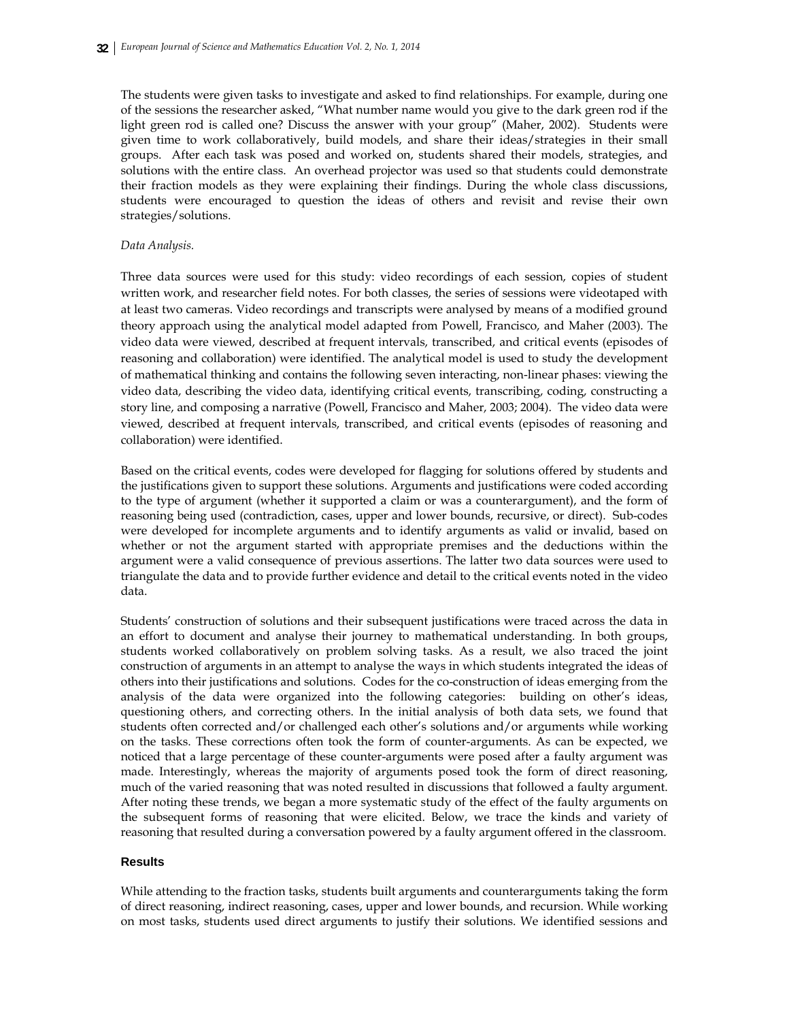The students were given tasks to investigate and asked to find relationships. For example, during one of the sessions the researcher asked, "What number name would you give to the dark green rod if the light green rod is called one? Discuss the answer with your group" (Maher, 2002). Students were given time to work collaboratively, build models, and share their ideas/strategies in their small groups. After each task was posed and worked on, students shared their models, strategies, and solutions with the entire class. An overhead projector was used so that students could demonstrate their fraction models as they were explaining their findings. During the whole class discussions, students were encouraged to question the ideas of others and revisit and revise their own strategies/solutions.

# *Data Analysis.*

Three data sources were used for this study: video recordings of each session, copies of student written work, and researcher field notes. For both classes, the series of sessions were videotaped with at least two cameras. Video recordings and transcripts were analysed by means of a modified ground theory approach using the analytical model adapted from Powell, Francisco, and Maher (2003). The video data were viewed, described at frequent intervals, transcribed, and critical events (episodes of reasoning and collaboration) were identified. The analytical model is used to study the development of mathematical thinking and contains the following seven interacting, non‐linear phases: viewing the video data, describing the video data, identifying critical events, transcribing, coding, constructing a story line, and composing a narrative (Powell, Francisco and Maher, 2003; 2004). The video data were viewed, described at frequent intervals, transcribed, and critical events (episodes of reasoning and collaboration) were identified.

Based on the critical events, codes were developed for flagging for solutions offered by students and the justifications given to support these solutions. Arguments and justifications were coded according to the type of argument (whether it supported a claim or was a counterargument), and the form of reasoning being used (contradiction, cases, upper and lower bounds, recursive, or direct). Sub-codes were developed for incomplete arguments and to identify arguments as valid or invalid, based on whether or not the argument started with appropriate premises and the deductions within the argument were a valid consequence of previous assertions. The latter two data sources were used to triangulate the data and to provide further evidence and detail to the critical events noted in the video data.

Students' construction of solutions and their subsequent justifications were traced across the data in an effort to document and analyse their journey to mathematical understanding. In both groups, students worked collaboratively on problem solving tasks. As a result, we also traced the joint construction of arguments in an attempt to analyse the ways in which students integrated the ideas of others into their justifications and solutions. Codes for the co-construction of ideas emerging from the analysis of the data were organized into the following categories: building on other's ideas, questioning others, and correcting others. In the initial analysis of both data sets, we found that students often corrected and/or challenged each other's solutions and/or arguments while working on the tasks. These corrections often took the form of counter-arguments. As can be expected, we noticed that a large percentage of these counter-arguments were posed after a faulty argument was made. Interestingly, whereas the majority of arguments posed took the form of direct reasoning, much of the varied reasoning that was noted resulted in discussions that followed a faulty argument. After noting these trends, we began a more systematic study of the effect of the faulty arguments on the subsequent forms of reasoning that were elicited. Below, we trace the kinds and variety of reasoning that resulted during a conversation powered by a faulty argument offered in the classroom.

# **Results**

While attending to the fraction tasks, students built arguments and counterarguments taking the form of direct reasoning, indirect reasoning, cases, upper and lower bounds, and recursion. While working on most tasks, students used direct arguments to justify their solutions. We identified sessions and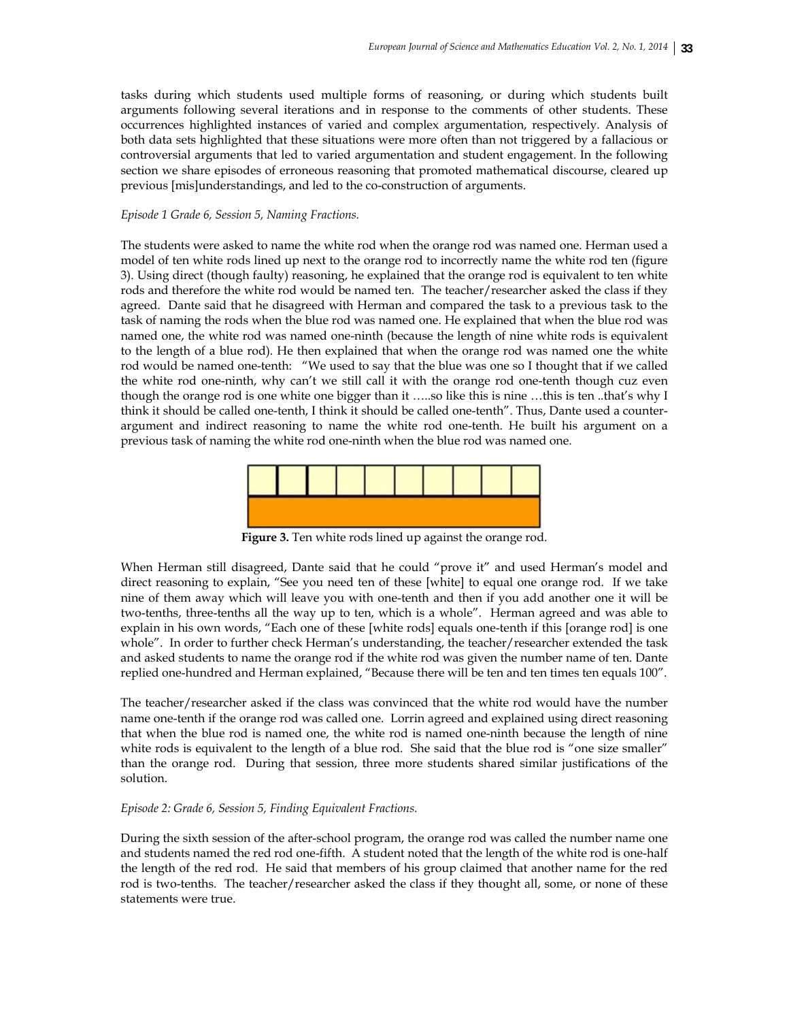tasks during which students used multiple forms of reasoning, or during which students built arguments following several iterations and in response to the comments of other students. These occurrences highlighted instances of varied and complex argumentation, respectively. Analysis of both data sets highlighted that these situations were more often than not triggered by a fallacious or controversial arguments that led to varied argumentation and student engagement. In the following section we share episodes of erroneous reasoning that promoted mathematical discourse, cleared up previous [mis]understandings, and led to the co-construction of arguments.

### *Episode 1 Grade 6, Session 5, Naming Fractions.*

The students were asked to name the white rod when the orange rod was named one. Herman used a model of ten white rods lined up next to the orange rod to incorrectly name the white rod ten (figure 3). Using direct (though faulty) reasoning, he explained that the orange rod is equivalent to ten white rods and therefore the white rod would be named ten. The teacher/researcher asked the class if they agreed. Dante said that he disagreed with Herman and compared the task to a previous task to the task of naming the rods when the blue rod was named one. He explained that when the blue rod was named one, the white rod was named one-ninth (because the length of nine white rods is equivalent to the length of a blue rod). He then explained that when the orange rod was named one the white rod would be named one-tenth: "We used to say that the blue was one so I thought that if we called the white rod one-ninth, why can't we still call it with the orange rod one-tenth though cuz even though the orange rod is one white one bigger than it …..so like this is nine …this is ten ..that's why I think it should be called one-tenth, I think it should be called one-tenth". Thus, Dante used a counterargument and indirect reasoning to name the white rod one-tenth. He built his argument on a previous task of naming the white rod one-ninth when the blue rod was named one.



Figure 3. Ten white rods lined up against the orange rod.

When Herman still disagreed, Dante said that he could "prove it" and used Herman's model and direct reasoning to explain, "See you need ten of these [white] to equal one orange rod. If we take nine of them away which will leave you with one-tenth and then if you add another one it will be two-tenths, three-tenths all the way up to ten, which is a whole". Herman agreed and was able to explain in his own words, "Each one of these [white rods] equals one-tenth if this [orange rod] is one whole". In order to further check Herman's understanding, the teacher/researcher extended the task and asked students to name the orange rod if the white rod was given the number name of ten. Dante replied one-hundred and Herman explained, "Because there will be ten and ten times ten equals 100".

The teacher/researcher asked if the class was convinced that the white rod would have the number name one-tenth if the orange rod was called one. Lorrin agreed and explained using direct reasoning that when the blue rod is named one, the white rod is named one-ninth because the length of nine white rods is equivalent to the length of a blue rod. She said that the blue rod is "one size smaller" than the orange rod. During that session, three more students shared similar justifications of the solution.

# *Episode 2: Grade 6, Session 5, Finding Equivalent Fractions.*

During the sixth session of the after-school program, the orange rod was called the number name one and students named the red rod one-fifth. A student noted that the length of the white rod is one-half the length of the red rod. He said that members of his group claimed that another name for the red rod is two-tenths. The teacher/researcher asked the class if they thought all, some, or none of these statements were true.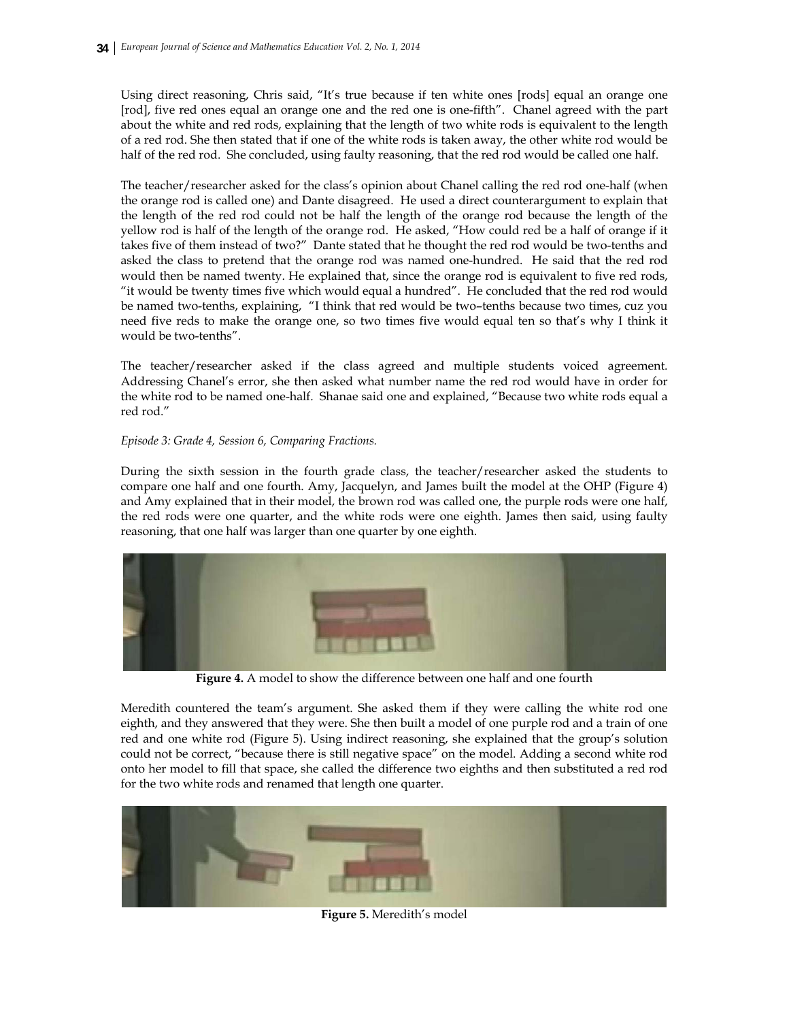Using direct reasoning, Chris said, "It's true because if ten white ones [rods] equal an orange one [rod], five red ones equal an orange one and the red one is one-fifth". Chanel agreed with the part about the white and red rods, explaining that the length of two white rods is equivalent to the length of a red rod. She then stated that if one of the white rods is taken away, the other white rod would be half of the red rod. She concluded, using faulty reasoning, that the red rod would be called one half.

The teacher/researcher asked for the class's opinion about Chanel calling the red rod one-half (when the orange rod is called one) and Dante disagreed. He used a direct counterargument to explain that the length of the red rod could not be half the length of the orange rod because the length of the yellow rod is half of the length of the orange rod. He asked, "How could red be a half of orange if it takes five of them instead of two?" Dante stated that he thought the red rod would be two-tenths and asked the class to pretend that the orange rod was named one-hundred. He said that the red rod would then be named twenty. He explained that, since the orange rod is equivalent to five red rods, "it would be twenty times five which would equal a hundred". He concluded that the red rod would be named two-tenths, explaining, "I think that red would be two–tenths because two times, cuz you need five reds to make the orange one, so two times five would equal ten so that's why I think it would be two-tenths".

The teacher/researcher asked if the class agreed and multiple students voiced agreement. Addressing Chanel's error, she then asked what number name the red rod would have in order for the white rod to be named one-half. Shanae said one and explained, "Because two white rods equal a red rod."

# *Episode 3: Grade 4, Session 6, Comparing Fractions.*

During the sixth session in the fourth grade class, the teacher/researcher asked the students to compare one half and one fourth. Amy, Jacquelyn, and James built the model at the OHP (Figure 4) and Amy explained that in their model, the brown rod was called one, the purple rods were one half, the red rods were one quarter, and the white rods were one eighth. James then said, using faulty reasoning, that one half was larger than one quarter by one eighth.



**Figure 4.** A model to show the difference between one half and one fourth

Meredith countered the team's argument. She asked them if they were calling the white rod one eighth, and they answered that they were. She then built a model of one purple rod and a train of one red and one white rod (Figure 5). Using indirect reasoning, she explained that the group's solution could not be correct, "because there is still negative space" on the model. Adding a second white rod onto her model to fill that space, she called the difference two eighths and then substituted a red rod for the two white rods and renamed that length one quarter.



**Figure 5.** Meredith's model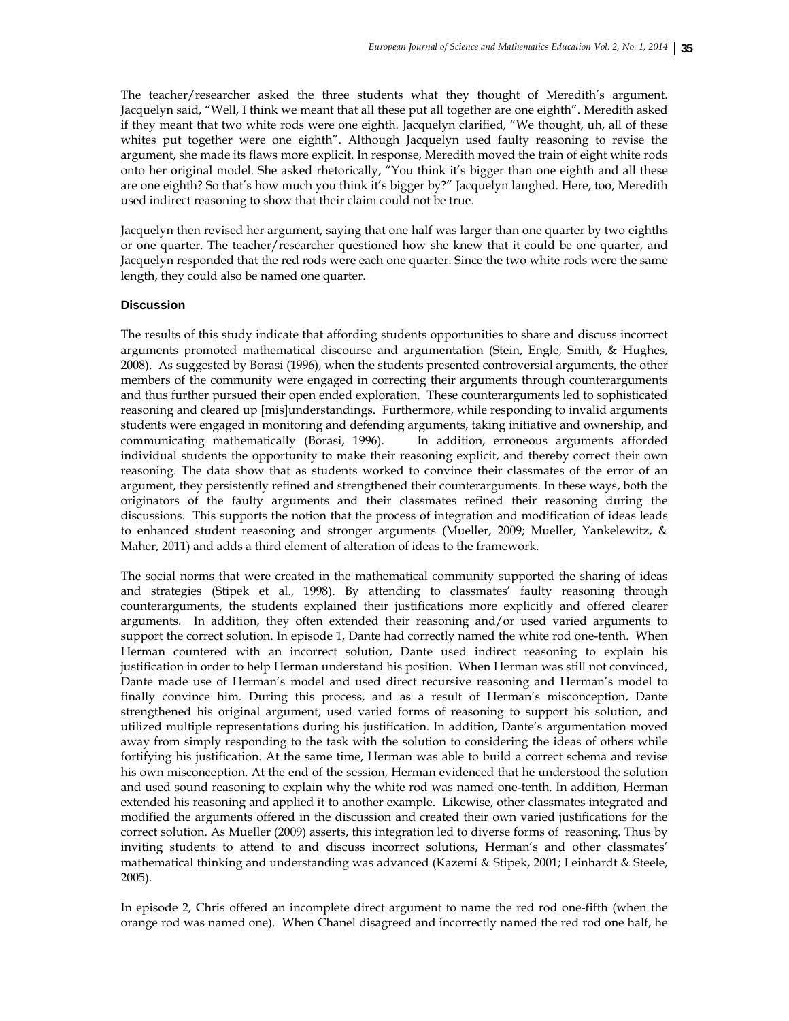The teacher/researcher asked the three students what they thought of Meredith's argument. Jacquelyn said, "Well, I think we meant that all these put all together are one eighth". Meredith asked if they meant that two white rods were one eighth. Jacquelyn clarified, "We thought, uh, all of these whites put together were one eighth". Although Jacquelyn used faulty reasoning to revise the argument, she made its flaws more explicit. In response, Meredith moved the train of eight white rods onto her original model. She asked rhetorically, "You think it's bigger than one eighth and all these are one eighth? So that's how much you think it's bigger by?" Jacquelyn laughed. Here, too, Meredith used indirect reasoning to show that their claim could not be true.

Jacquelyn then revised her argument, saying that one half was larger than one quarter by two eighths or one quarter. The teacher/researcher questioned how she knew that it could be one quarter, and Jacquelyn responded that the red rods were each one quarter. Since the two white rods were the same length, they could also be named one quarter.

## **Discussion**

The results of this study indicate that affording students opportunities to share and discuss incorrect arguments promoted mathematical discourse and argumentation (Stein, Engle, Smith, & Hughes, 2008). As suggested by Borasi (1996), when the students presented controversial arguments, the other members of the community were engaged in correcting their arguments through counterarguments and thus further pursued their open ended exploration. These counterarguments led to sophisticated reasoning and cleared up [mis]understandings. Furthermore, while responding to invalid arguments students were engaged in monitoring and defending arguments, taking initiative and ownership, and communicating mathematically (Borasi, 1996). In addition, erroneous arguments afforded individual students the opportunity to make their reasoning explicit, and thereby correct their own reasoning. The data show that as students worked to convince their classmates of the error of an argument, they persistently refined and strengthened their counterarguments. In these ways, both the originators of the faulty arguments and their classmates refined their reasoning during the discussions. This supports the notion that the process of integration and modification of ideas leads to enhanced student reasoning and stronger arguments (Mueller, 2009; Mueller, Yankelewitz, & Maher, 2011) and adds a third element of alteration of ideas to the framework.

The social norms that were created in the mathematical community supported the sharing of ideas and strategies (Stipek et al., 1998). By attending to classmates' faulty reasoning through counterarguments, the students explained their justifications more explicitly and offered clearer arguments. In addition, they often extended their reasoning and/or used varied arguments to support the correct solution. In episode 1, Dante had correctly named the white rod one-tenth. When Herman countered with an incorrect solution, Dante used indirect reasoning to explain his justification in order to help Herman understand his position. When Herman was still not convinced, Dante made use of Herman's model and used direct recursive reasoning and Herman's model to finally convince him. During this process, and as a result of Herman's misconception, Dante strengthened his original argument, used varied forms of reasoning to support his solution, and utilized multiple representations during his justification. In addition, Dante's argumentation moved away from simply responding to the task with the solution to considering the ideas of others while fortifying his justification. At the same time, Herman was able to build a correct schema and revise his own misconception. At the end of the session, Herman evidenced that he understood the solution and used sound reasoning to explain why the white rod was named one-tenth. In addition, Herman extended his reasoning and applied it to another example. Likewise, other classmates integrated and modified the arguments offered in the discussion and created their own varied justifications for the correct solution. As Mueller (2009) asserts, this integration led to diverse forms of reasoning. Thus by inviting students to attend to and discuss incorrect solutions, Herman's and other classmates' mathematical thinking and understanding was advanced (Kazemi & Stipek, 2001; Leinhardt & Steele, 2005).

In episode 2, Chris offered an incomplete direct argument to name the red rod one-fifth (when the orange rod was named one). When Chanel disagreed and incorrectly named the red rod one half, he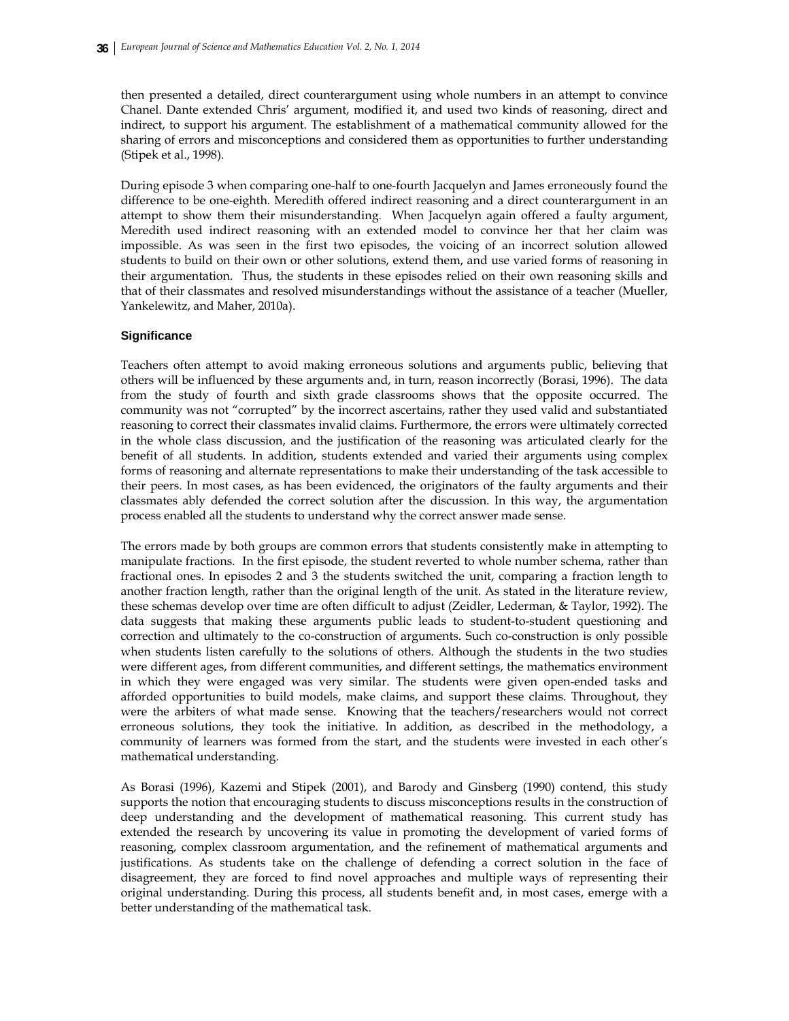then presented a detailed, direct counterargument using whole numbers in an attempt to convince Chanel. Dante extended Chris' argument, modified it, and used two kinds of reasoning, direct and indirect, to support his argument. The establishment of a mathematical community allowed for the sharing of errors and misconceptions and considered them as opportunities to further understanding (Stipek et al., 1998).

During episode 3 when comparing one-half to one-fourth Jacquelyn and James erroneously found the difference to be one-eighth. Meredith offered indirect reasoning and a direct counterargument in an attempt to show them their misunderstanding. When Jacquelyn again offered a faulty argument, Meredith used indirect reasoning with an extended model to convince her that her claim was impossible. As was seen in the first two episodes, the voicing of an incorrect solution allowed students to build on their own or other solutions, extend them, and use varied forms of reasoning in their argumentation. Thus, the students in these episodes relied on their own reasoning skills and that of their classmates and resolved misunderstandings without the assistance of a teacher (Mueller, Yankelewitz, and Maher, 2010a).

# **Significance**

Teachers often attempt to avoid making erroneous solutions and arguments public, believing that others will be influenced by these arguments and, in turn, reason incorrectly (Borasi, 1996). The data from the study of fourth and sixth grade classrooms shows that the opposite occurred. The community was not "corrupted" by the incorrect ascertains, rather they used valid and substantiated reasoning to correct their classmates invalid claims. Furthermore, the errors were ultimately corrected in the whole class discussion, and the justification of the reasoning was articulated clearly for the benefit of all students. In addition, students extended and varied their arguments using complex forms of reasoning and alternate representations to make their understanding of the task accessible to their peers. In most cases, as has been evidenced, the originators of the faulty arguments and their classmates ably defended the correct solution after the discussion. In this way, the argumentation process enabled all the students to understand why the correct answer made sense.

The errors made by both groups are common errors that students consistently make in attempting to manipulate fractions. In the first episode, the student reverted to whole number schema, rather than fractional ones. In episodes 2 and 3 the students switched the unit, comparing a fraction length to another fraction length, rather than the original length of the unit. As stated in the literature review, these schemas develop over time are often difficult to adjust (Zeidler, Lederman, & Taylor, 1992). The data suggests that making these arguments public leads to student-to-student questioning and correction and ultimately to the co-construction of arguments. Such co-construction is only possible when students listen carefully to the solutions of others. Although the students in the two studies were different ages, from different communities, and different settings, the mathematics environment in which they were engaged was very similar. The students were given open-ended tasks and afforded opportunities to build models, make claims, and support these claims. Throughout, they were the arbiters of what made sense. Knowing that the teachers/researchers would not correct erroneous solutions, they took the initiative. In addition, as described in the methodology, a community of learners was formed from the start, and the students were invested in each other's mathematical understanding.

As Borasi (1996), Kazemi and Stipek (2001), and Barody and Ginsberg (1990) contend, this study supports the notion that encouraging students to discuss misconceptions results in the construction of deep understanding and the development of mathematical reasoning. This current study has extended the research by uncovering its value in promoting the development of varied forms of reasoning, complex classroom argumentation, and the refinement of mathematical arguments and justifications. As students take on the challenge of defending a correct solution in the face of disagreement, they are forced to find novel approaches and multiple ways of representing their original understanding. During this process, all students benefit and, in most cases, emerge with a better understanding of the mathematical task.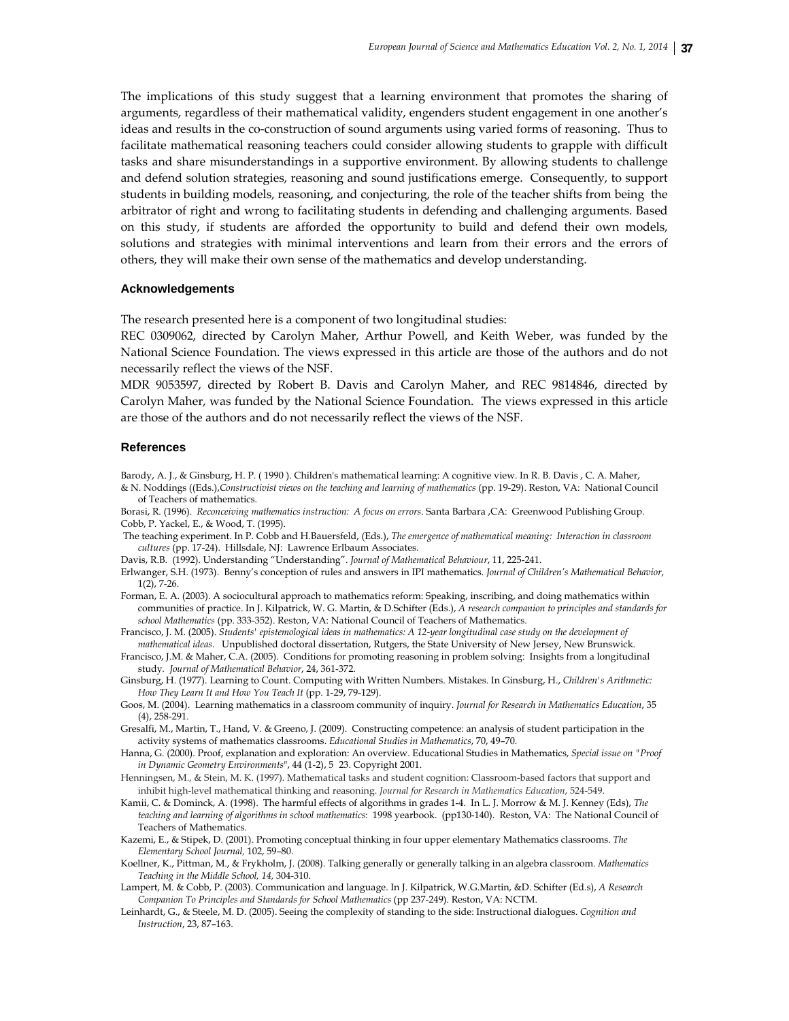The implications of this study suggest that a learning environment that promotes the sharing of arguments, regardless of their mathematical validity, engenders student engagement in one another's ideas and results in the co-construction of sound arguments using varied forms of reasoning. Thus to facilitate mathematical reasoning teachers could consider allowing students to grapple with difficult tasks and share misunderstandings in a supportive environment. By allowing students to challenge and defend solution strategies, reasoning and sound justifications emerge. Consequently, to support students in building models, reasoning, and conjecturing, the role of the teacher shifts from being the arbitrator of right and wrong to facilitating students in defending and challenging arguments. Based on this study, if students are afforded the opportunity to build and defend their own models, solutions and strategies with minimal interventions and learn from their errors and the errors of others, they will make their own sense of the mathematics and develop understanding.

#### **Acknowledgements**

The research presented here is a component of two longitudinal studies:

REC 0309062, directed by Carolyn Maher, Arthur Powell, and Keith Weber, was funded by the National Science Foundation. The views expressed in this article are those of the authors and do not necessarily reflect the views of the NSF.

MDR 9053597, directed by Robert B. Davis and Carolyn Maher, and REC 9814846, directed by Carolyn Maher, was funded by the National Science Foundation. The views expressed in this article are those of the authors and do not necessarily reflect the views of the NSF.

# **References**

Barody, A. J., & Ginsburg, H. P. ( 1990 ). Children's mathematical learning: A cognitive view. In R. B. Davis , C. A. Maher, & N. Noddings ((Eds.),*Constructivist views on the teaching and learning of mathematics* (pp. 19-29). Reston, VA: National Council of Teachers of mathematics.

Borasi, R. (1996). *Reconceiving mathematics instruction: A focus on errors*. Santa Barbara ,CA: Greenwood Publishing Group. Cobb, P. Yackel, E., & Wood, T. (1995).

 The teaching experiment. In P. Cobb and H.Bauersfeld, (Eds.), *The emergence of mathematical meaning: Interaction in classroom cultures* (pp. 17-24). Hillsdale, NJ: Lawrence Erlbaum Associates.

Davis, R.B. (1992). Understanding "Understanding". *Journal of Mathematical Behaviour*, 11, 225-241.

Erlwanger, S.H. (1973). Benny's conception of rules and answers in IPI mathematics*. Journal of Children's Mathematical Behavior*, 1(2), 7-26.

Forman, E. A. (2003). A sociocultural approach to mathematics reform: Speaking, inscribing, and doing mathematics within communities of practice. In J. Kilpatrick, W. G. Martin, & D.Schifter (Eds.), *A research companion to principles and standards for school Mathematics* (pp. 333-352). Reston, VA: National Council of Teachers of Mathematics.

Francisco, J. M. (2005). *Students' epistemological ideas in mathematics: A 12-year longitudinal case study on the development of mathematical ideas.* Unpublished doctoral dissertation, Rutgers, the State University of New Jersey, New Brunswick.

Francisco, J.M. & Maher, C.A. (2005). Conditions for promoting reasoning in problem solving: Insights from a longitudinal study*. Journal of Mathematical Behavior*, 24, 361-372.

Ginsburg, H. (1977). Learning to Count. Computing with Written Numbers. Mistakes. In Ginsburg, H., *Children's Arithmetic: How They Learn It and How You Teach It* (pp. 1-29, 79-129).

Goos, M. (2004). Learning mathematics in a classroom community of inquiry. *Journal for Research in Mathematics Education*, 35 (4), 258-291.

Gresalfi, M., Martin, T., Hand, V. & Greeno, J. (2009). Constructing competence: an analysis of student participation in the activity systems of mathematics classrooms. *Educational Studies in Mathematics*, 70, 49–70.

Hanna, G. (2000). Proof, explanation and exploration: An overview. Educational Studies in Mathematics, *Special issue on "Proof in Dynamic Geometry Environments*", 44 (1-2), 5 23. Copyright 2001.

Henningsen, M., & Stein, M. K. (1997). Mathematical tasks and student cognition: Classroom-based factors that support and inhibit high‐level mathematical thinking and reasoning. *Journal for Research in Mathematics Education*, 524‐549.

Kamii, C. & Dominck, A. (1998). The harmful effects of algorithms in grades 1-4. In L. J. Morrow & M. J. Kenney (Eds), *The teaching and learning of algorithms in school mathematics*: 1998 yearbook. (pp130-140). Reston, VA: The National Council of Teachers of Mathematics.

Kazemi, E., & Stipek, D. (2001). Promoting conceptual thinking in four upper elementary Mathematics classrooms. *The Elementary School Journal,* 102, 59–80.

Koellner, K., Pittman, M., & Frykholm, J. (2008). Talking generally or generally talking in an algebra classroom. *Mathematics Teaching in the Middle School, 14,* 304-310.

Lampert, M. & Cobb, P. (2003). Communication and language. In J. Kilpatrick, W.G.Martin, &D. Schifter (Ed.s), *A Research Companion To Principles and Standards for School Mathematics* (pp 237-249). Reston, VA: NCTM.

Leinhardt, G., & Steele, M. D. (2005). Seeing the complexity of standing to the side: Instructional dialogues. *Cognition and Instruction*, 23, 87–163.